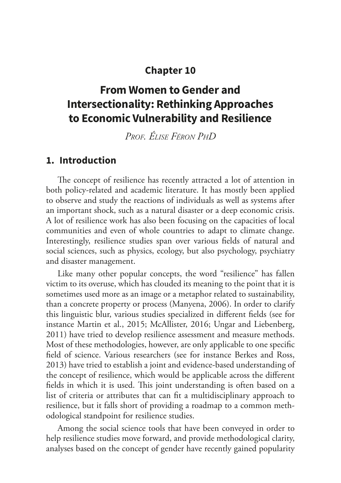## **[Chapter 10](#page--1-0)**

# **[From Women to Gender and](#page--1-0)  [Intersectionality: Rethinking Approaches](#page--1-0)  [to Economic Vulnerability and Resilience](#page--1-0)**

*Prof. Élise Féron PhD*

#### **1. Introduction**

The concept of resilience has recently attracted a lot of attention in both policy-related and academic literature. It has mostly been applied to observe and study the reactions of individuals as well as systems after an important shock, such as a natural disaster or a deep economic crisis. A lot of resilience work has also been focusing on the capacities of local communities and even of whole countries to adapt to climate change. Interestingly, resilience studies span over various fields of natural and social sciences, such as physics, ecology, but also psychology, psychiatry and disaster management.

Like many other popular concepts, the word "resilience" has fallen victim to its overuse, which has clouded its meaning to the point that it is sometimes used more as an image or a metaphor related to sustainability, than a concrete property or process (Manyena, 2006). In order to clarify this linguistic blur, various studies specialized in different fields (see for instance Martin et al., 2015; McAllister, 2016; Ungar and Liebenberg, 2011) have tried to develop resilience assessment and measure methods. Most of these methodologies, however, are only applicable to one specific field of science. Various researchers (see for instance Berkes and Ross, 2013) have tried to establish a joint and evidence-based understanding of the concept of resilience, which would be applicable across the different fields in which it is used. This joint understanding is often based on a list of criteria or attributes that can fit a multidisciplinary approach to resilience, but it falls short of providing a roadmap to a common methodological standpoint for resilience studies.

Among the social science tools that have been conveyed in order to help resilience studies move forward, and provide methodological clarity, analyses based on the concept of gender have recently gained popularity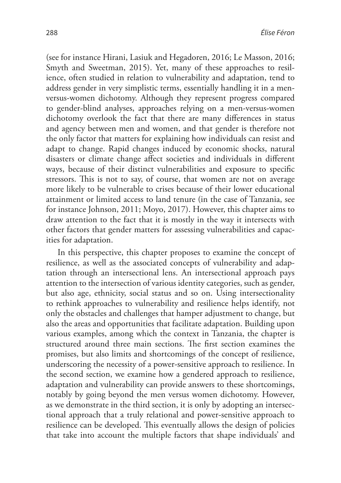(see for instance Hirani, Lasiuk and Hegadoren, 2016; Le Masson, 2016; Smyth and Sweetman, 2015). Yet, many of these approaches to resilience, often studied in relation to vulnerability and adaptation, tend to address gender in very simplistic terms, essentially handling it in a menversus-women dichotomy. Although they represent progress compared to gender-blind analyses, approaches relying on a men-versus-women dichotomy overlook the fact that there are many differences in status and agency between men and women, and that gender is therefore not the only factor that matters for explaining how individuals can resist and adapt to change. Rapid changes induced by economic shocks, natural disasters or climate change affect societies and individuals in different ways, because of their distinct vulnerabilities and exposure to specific stressors. This is not to say, of course, that women are not on average more likely to be vulnerable to crises because of their lower educational attainment or limited access to land tenure (in the case of Tanzania, see for instance Johnson, 2011; Moyo, 2017). However, this chapter aims to draw attention to the fact that it is mostly in the way it intersects with other factors that gender matters for assessing vulnerabilities and capacities for adaptation.

In this perspective, this chapter proposes to examine the concept of resilience, as well as the associated concepts of vulnerability and adaptation through an intersectional lens. An intersectional approach pays attention to the intersection of various identity categories, such as gender, but also age, ethnicity, social status and so on. Using intersectionality to rethink approaches to vulnerability and resilience helps identify, not only the obstacles and challenges that hamper adjustment to change, but also the areas and opportunities that facilitate adaptation. Building upon various examples, among which the context in Tanzania, the chapter is structured around three main sections. The first section examines the promises, but also limits and shortcomings of the concept of resilience, underscoring the necessity of a power-sensitive approach to resilience. In the second section, we examine how a gendered approach to resilience, adaptation and vulnerability can provide answers to these shortcomings, notably by going beyond the men versus women dichotomy. However, as we demonstrate in the third section, it is only by adopting an intersectional approach that a truly relational and power-sensitive approach to resilience can be developed. This eventually allows the design of policies that take into account the multiple factors that shape individuals' and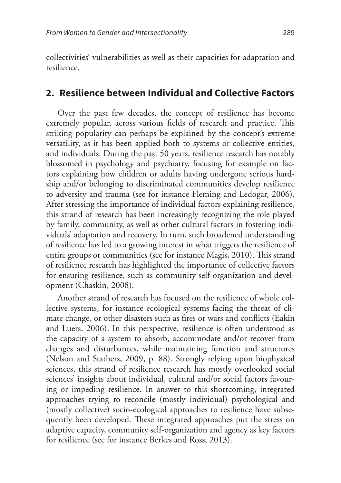collectivities' vulnerabilities as well as their capacities for adaptation and resilience.

# **2. Resilience between Individual and Collective Factors**

Over the past few decades, the concept of resilience has become extremely popular, across various fields of research and practice. This striking popularity can perhaps be explained by the concept's extreme versatility, as it has been applied both to systems or collective entities, and individuals. During the past 50 years, resilience research has notably blossomed in psychology and psychiatry, focusing for example on factors explaining how children or adults having undergone serious hardship and/or belonging to discriminated communities develop resilience to adversity and trauma (see for instance Fleming and Ledogar, 2006). After stressing the importance of individual factors explaining resilience, this strand of research has been increasingly recognizing the role played by family, community, as well as other cultural factors in fostering individuals' adaptation and recovery. In turn, such broadened understanding of resilience has led to a growing interest in what triggers the resilience of entire groups or communities (see for instance Magis, 2010). This strand of resilience research has highlighted the importance of collective factors for ensuring resilience, such as community self-organization and development (Chaskin, 2008).

Another strand of research has focused on the resilience of whole collective systems, for instance ecological systems facing the threat of climate change, or other disasters such as fires or wars and conflicts (Eakin and Luers, 2006). In this perspective, resilience is often understood as the capacity of a system to absorb, accommodate and/or recover from changes and disturbances, while maintaining function and structures (Nelson and Stathers, 2009, p. 88). Strongly relying upon biophysical sciences, this strand of resilience research has mostly overlooked social sciences' insights about individual, cultural and/or social factors favouring or impeding resilience. In answer to this shortcoming, integrated approaches trying to reconcile (mostly individual) psychological and (mostly collective) socio-ecological approaches to resilience have subsequently been developed. These integrated approaches put the stress on adaptive capacity, community self-organization and agency as key factors for resilience (see for instance Berkes and Ross, 2013).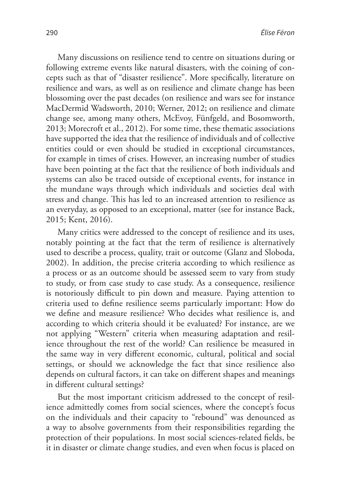Many discussions on resilience tend to centre on situations during or following extreme events like natural disasters, with the coining of concepts such as that of "disaster resilience". More specifically, literature on resilience and wars, as well as on resilience and climate change has been blossoming over the past decades (on resilience and wars see for instance MacDermid Wadsworth, 2010; Werner, 2012; on resilience and climate change see, among many others, McEvoy, Fünfgeld, and Bosomworth, 2013; Morecroft et al., 2012). For some time, these thematic associations have supported the idea that the resilience of individuals and of collective entities could or even should be studied in exceptional circumstances, for example in times of crises. However, an increasing number of studies have been pointing at the fact that the resilience of both individuals and systems can also be traced outside of exceptional events, for instance in the mundane ways through which individuals and societies deal with stress and change. This has led to an increased attention to resilience as an everyday, as opposed to an exceptional, matter (see for instance Back, 2015; Kent, 2016).

Many critics were addressed to the concept of resilience and its uses, notably pointing at the fact that the term of resilience is alternatively used to describe a process, quality, trait or outcome (Glanz and Sloboda, 2002). In addition, the precise criteria according to which resilience as a process or as an outcome should be assessed seem to vary from study to study, or from case study to case study. As a consequence, resilience is notoriously difficult to pin down and measure. Paying attention to criteria used to define resilience seems particularly important: How do we define and measure resilience? Who decides what resilience is, and according to which criteria should it be evaluated? For instance, are we not applying "Western" criteria when measuring adaptation and resilience throughout the rest of the world? Can resilience be measured in the same way in very different economic, cultural, political and social settings, or should we acknowledge the fact that since resilience also depends on cultural factors, it can take on different shapes and meanings in different cultural settings?

But the most important criticism addressed to the concept of resilience admittedly comes from social sciences, where the concept's focus on the individuals and their capacity to "rebound" was denounced as a way to absolve governments from their responsibilities regarding the protection of their populations. In most social sciences-related fields, be it in disaster or climate change studies, and even when focus is placed on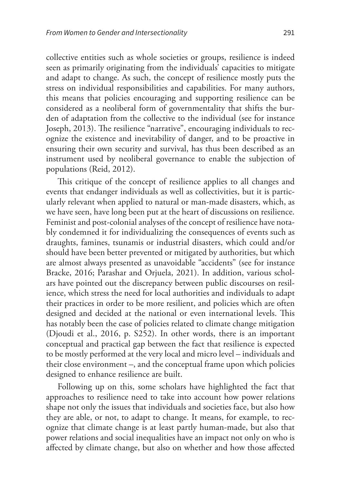collective entities such as whole societies or groups, resilience is indeed seen as primarily originating from the individuals' capacities to mitigate and adapt to change. As such, the concept of resilience mostly puts the stress on individual responsibilities and capabilities. For many authors, this means that policies encouraging and supporting resilience can be considered as a neoliberal form of governmentality that shifts the burden of adaptation from the collective to the individual (see for instance Joseph, 2013). The resilience "narrative", encouraging individuals to recognize the existence and inevitability of danger, and to be proactive in ensuring their own security and survival, has thus been described as an instrument used by neoliberal governance to enable the subjection of populations (Reid, 2012).

This critique of the concept of resilience applies to all changes and events that endanger individuals as well as collectivities, but it is particularly relevant when applied to natural or man-made disasters, which, as we have seen, have long been put at the heart of discussions on resilience. Feminist and post-colonial analyses of the concept of resilience have notably condemned it for individualizing the consequences of events such as draughts, famines, tsunamis or industrial disasters, which could and/or should have been better prevented or mitigated by authorities, but which are almost always presented as unavoidable "accidents" (see for instance Bracke, 2016; Parashar and Orjuela, 2021). In addition, various scholars have pointed out the discrepancy between public discourses on resilience, which stress the need for local authorities and individuals to adapt their practices in order to be more resilient, and policies which are often designed and decided at the national or even international levels. This has notably been the case of policies related to climate change mitigation (Djoudi et al., 2016, p. S252). In other words, there is an important conceptual and practical gap between the fact that resilience is expected to be mostly performed at the very local and micro level – individuals and their close environment –, and the conceptual frame upon which policies designed to enhance resilience are built.

Following up on this, some scholars have highlighted the fact that approaches to resilience need to take into account how power relations shape not only the issues that individuals and societies face, but also how they are able, or not, to adapt to change. It means, for example, to recognize that climate change is at least partly human-made, but also that power relations and social inequalities have an impact not only on who is affected by climate change, but also on whether and how those affected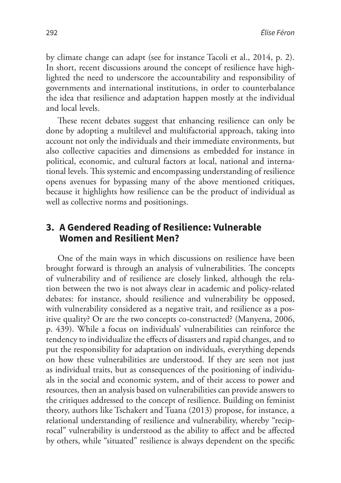by climate change can adapt (see for instance Tacoli et al., 2014, p. 2). In short, recent discussions around the concept of resilience have highlighted the need to underscore the accountability and responsibility of governments and international institutions, in order to counterbalance the idea that resilience and adaptation happen mostly at the individual and local levels.

These recent debates suggest that enhancing resilience can only be done by adopting a multilevel and multifactorial approach, taking into account not only the individuals and their immediate environments, but also collective capacities and dimensions as embedded for instance in political, economic, and cultural factors at local, national and international levels. This systemic and encompassing understanding of resilience opens avenues for bypassing many of the above mentioned critiques, because it highlights how resilience can be the product of individual as well as collective norms and positionings.

## **3. A Gendered Reading of Resilience: Vulnerable Women and Resilient Men?**

One of the main ways in which discussions on resilience have been brought forward is through an analysis of vulnerabilities. The concepts of vulnerability and of resilience are closely linked, although the relation between the two is not always clear in academic and policy-related debates: for instance, should resilience and vulnerability be opposed, with vulnerability considered as a negative trait, and resilience as a positive quality? Or are the two concepts co-constructed? (Manyena, 2006, p. 439). While a focus on individuals' vulnerabilities can reinforce the tendency to individualize the effects of disasters and rapid changes, and to put the responsibility for adaptation on individuals, everything depends on how these vulnerabilities are understood. If they are seen not just as individual traits, but as consequences of the positioning of individuals in the social and economic system, and of their access to power and resources, then an analysis based on vulnerabilities can provide answers to the critiques addressed to the concept of resilience. Building on feminist theory, authors like Tschakert and Tuana (2013) propose, for instance, a relational understanding of resilience and vulnerability, whereby "reciprocal" vulnerability is understood as the ability to affect and be affected by others, while "situated" resilience is always dependent on the specific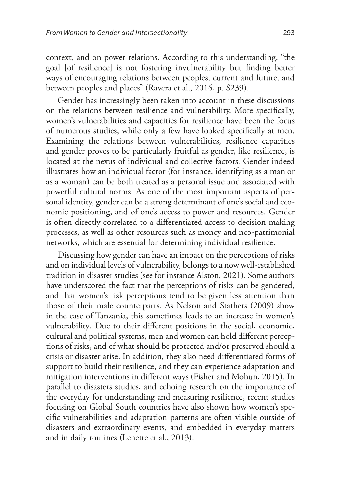context, and on power relations. According to this understanding, "the goal [of resilience] is not fostering invulnerability but finding better ways of encouraging relations between peoples, current and future, and between peoples and places" (Ravera et al., 2016, p. S239).

Gender has increasingly been taken into account in these discussions on the relations between resilience and vulnerability. More specifically, women's vulnerabilities and capacities for resilience have been the focus of numerous studies, while only a few have looked specifically at men. Examining the relations between vulnerabilities, resilience capacities and gender proves to be particularly fruitful as gender, like resilience, is located at the nexus of individual and collective factors. Gender indeed illustrates how an individual factor (for instance, identifying as a man or as a woman) can be both treated as a personal issue and associated with powerful cultural norms. As one of the most important aspects of personal identity, gender can be a strong determinant of one's social and economic positioning, and of one's access to power and resources. Gender is often directly correlated to a differentiated access to decision-making processes, as well as other resources such as money and neo-patrimonial networks, which are essential for determining individual resilience.

Discussing how gender can have an impact on the perceptions of risks and on individual levels of vulnerability, belongs to a now well-established tradition in disaster studies (see for instance Alston, 2021). Some authors have underscored the fact that the perceptions of risks can be gendered, and that women's risk perceptions tend to be given less attention than those of their male counterparts. As Nelson and Stathers (2009) show in the case of Tanzania, this sometimes leads to an increase in women's vulnerability*.* Due to their different positions in the social, economic, cultural and political systems, men and women can hold different perceptions of risks, and of what should be protected and/or preserved should a crisis or disaster arise. In addition, they also need differentiated forms of support to build their resilience, and they can experience adaptation and mitigation interventions in different ways (Fisher and Mohun, 2015). In parallel to disasters studies, and echoing research on the importance of the everyday for understanding and measuring resilience, recent studies focusing on Global South countries have also shown how women's specific vulnerabilities and adaptation patterns are often visible outside of disasters and extraordinary events, and embedded in everyday matters and in daily routines (Lenette et al., 2013).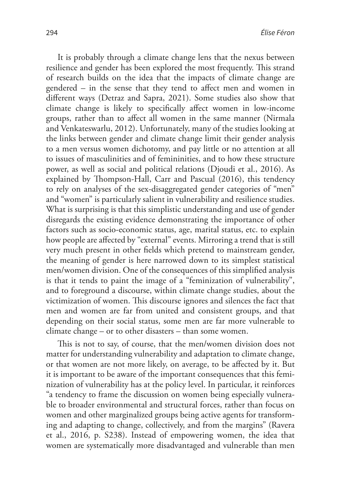It is probably through a climate change lens that the nexus between resilience and gender has been explored the most frequently. This strand of research builds on the idea that the impacts of climate change are gendered – in the sense that they tend to affect men and women in different ways (Detraz and Sapra, 2021). Some studies also show that climate change is likely to specifically affect women in low-income groups, rather than to affect all women in the same manner (Nirmala and Venkateswarlu, 2012). Unfortunately, many of the studies looking at the links between gender and climate change limit their gender analysis to a men versus women dichotomy, and pay little or no attention at all to issues of masculinities and of femininities, and to how these structure power, as well as social and political relations (Djoudi et al., 2016). As explained by Thompson-Hall, Carr and Pascual (2016), this tendency to rely on analyses of the sex-disaggregated gender categories of "men" and "women" is particularly salient in vulnerability and resilience studies. What is surprising is that this simplistic understanding and use of gender disregards the existing evidence demonstrating the importance of other factors such as socio-economic status, age, marital status, etc. to explain how people are affected by "external" events. Mirroring a trend that is still very much present in other fields which pretend to mainstream gender, the meaning of gender is here narrowed down to its simplest statistical men/women division. One of the consequences of this simplified analysis is that it tends to paint the image of a "feminization of vulnerability", and to foreground a discourse, within climate change studies, about the victimization of women. This discourse ignores and silences the fact that men and women are far from united and consistent groups, and that depending on their social status, some men are far more vulnerable to climate change – or to other disasters – than some women.

This is not to say, of course, that the men/women division does not matter for understanding vulnerability and adaptation to climate change, or that women are not more likely, on average, to be affected by it. But it is important to be aware of the important consequences that this feminization of vulnerability has at the policy level. In particular, it reinforces "a tendency to frame the discussion on women being especially vulnerable to broader environmental and structural forces, rather than focus on women and other marginalized groups being active agents for transforming and adapting to change, collectively, and from the margins" (Ravera et al., 2016, p. S238). Instead of empowering women, the idea that women are systematically more disadvantaged and vulnerable than men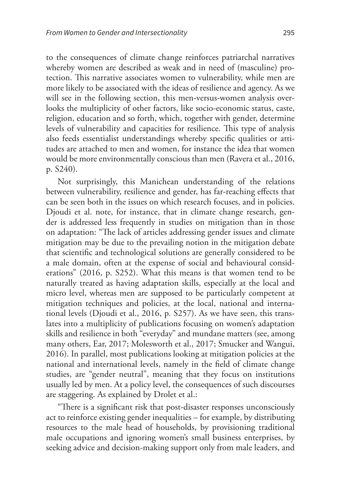to the consequences of climate change reinforces patriarchal narratives whereby women are described as weak and in need of (masculine) protection. This narrative associates women to vulnerability, while men are more likely to be associated with the ideas of resilience and agency. As we will see in the following section, this men-versus-women analysis overlooks the multiplicity of other factors, like socio-economic status, caste, religion, education and so forth, which, together with gender, determine levels of vulnerability and capacities for resilience. This type of analysis also feeds essentialist understandings whereby specific qualities or attitudes are attached to men and women, for instance the idea that women would be more environmentally conscious than men (Ravera et al., 2016, p. S240).

Not surprisingly, this Manichean understanding of the relations between vulnerability, resilience and gender, has far-reaching effects that can be seen both in the issues on which research focuses, and in policies. Djoudi et al. note, for instance, that in climate change research, gender is addressed less frequently in studies on mitigation than in those on adaptation: "The lack of articles addressing gender issues and climate mitigation may be due to the prevailing notion in the mitigation debate that scientific and technological solutions are generally considered to be a male domain, often at the expense of social and behavioural considerations" (2016, p. S252). What this means is that women tend to be naturally treated as having adaptation skills, especially at the local and micro level, whereas men are supposed to be particularly competent at mitigation techniques and policies, at the local, national and international levels (Djoudi et al., 2016, p. S257). As we have seen, this translates into a multiplicity of publications focusing on women's adaptation skills and resilience in both "everyday" and mundane matters (see, among many others, Ear, 2017; Molesworth et al., 2017; Smucker and Wangui, 2016). In parallel, most publications looking at mitigation policies at the national and international levels, namely in the field of climate change studies, are "gender neutral", meaning that they focus on institutions usually led by men. At a policy level, the consequences of such discourses are staggering. As explained by Drolet et al.:

"There is a significant risk that post-disaster responses unconsciously act to reinforce existing gender inequalities – for example, by distributing resources to the male head of households, by provisioning traditional male occupations and ignoring women's small business enterprises, by seeking advice and decision-making support only from male leaders, and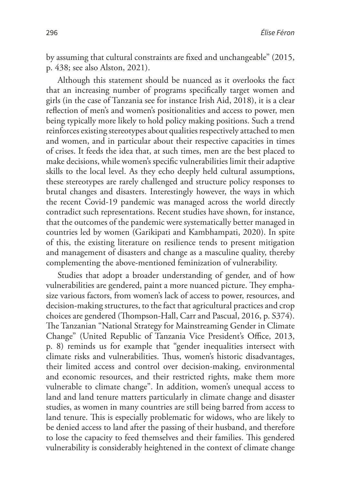by assuming that cultural constraints are fixed and unchangeable" (2015, p. 438; see also Alston, 2021).

Although this statement should be nuanced as it overlooks the fact that an increasing number of programs specifically target women and girls (in the case of Tanzania see for instance Irish Aid, 2018), it is a clear reflection of men's and women's positionalities and access to power, men being typically more likely to hold policy making positions. Such a trend reinforces existing stereotypes about qualities respectively attached to men and women, and in particular about their respective capacities in times of crises. It feeds the idea that, at such times, men are the best placed to make decisions, while women's specific vulnerabilities limit their adaptive skills to the local level. As they echo deeply held cultural assumptions, these stereotypes are rarely challenged and structure policy responses to brutal changes and disasters. Interestingly however, the ways in which the recent Covid-19 pandemic was managed across the world directly contradict such representations. Recent studies have shown, for instance, that the outcomes of the pandemic were systematically better managed in countries led by women (Garikipati and Kambhampati, 2020). In spite of this, the existing literature on resilience tends to present mitigation and management of disasters and change as a masculine quality, thereby complementing the above-mentioned feminization of vulnerability.

Studies that adopt a broader understanding of gender, and of how vulnerabilities are gendered, paint a more nuanced picture. They emphasize various factors, from women's lack of access to power, resources, and decision-making structures, to the fact that agricultural practices and crop choices are gendered (Thompson-Hall, Carr and Pascual, 2016, p. S374). The Tanzanian "National Strategy for Mainstreaming Gender in Climate Change" (United Republic of Tanzania Vice President's Office, 2013, p. 8) reminds us for example that "gender inequalities intersect with climate risks and vulnerabilities. Thus, women's historic disadvantages, their limited access and control over decision-making, environmental and economic resources, and their restricted rights, make them more vulnerable to climate change". In addition, women's unequal access to land and land tenure matters particularly in climate change and disaster studies, as women in many countries are still being barred from access to land tenure. This is especially problematic for widows, who are likely to be denied access to land after the passing of their husband, and therefore to lose the capacity to feed themselves and their families. This gendered vulnerability is considerably heightened in the context of climate change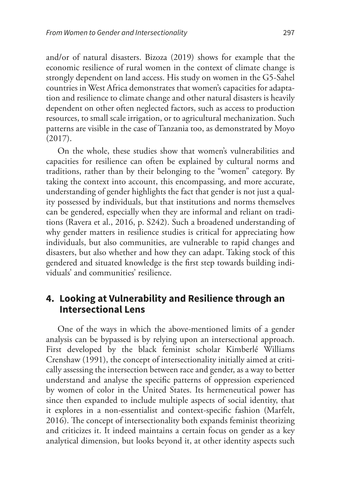and/or of natural disasters. Bizoza (2019) shows for example that the economic resilience of rural women in the context of climate change is strongly dependent on land access. His study on women in the G5-Sahel countries in West Africa demonstrates that women's capacities for adaptation and resilience to climate change and other natural disasters is heavily dependent on other often neglected factors, such as access to production resources, to small scale irrigation, or to agricultural mechanization. Such patterns are visible in the case of Tanzania too, as demonstrated by Moyo (2017).

On the whole, these studies show that women's vulnerabilities and capacities for resilience can often be explained by cultural norms and traditions, rather than by their belonging to the "women" category. By taking the context into account, this encompassing, and more accurate, understanding of gender highlights the fact that gender is not just a quality possessed by individuals, but that institutions and norms themselves can be gendered, especially when they are informal and reliant on traditions (Ravera et al., 2016, p. S242). Such a broadened understanding of why gender matters in resilience studies is critical for appreciating how individuals, but also communities, are vulnerable to rapid changes and disasters, but also whether and how they can adapt. Taking stock of this gendered and situated knowledge is the first step towards building individuals' and communities' resilience.

# **4. Looking at Vulnerability and Resilience through an Intersectional Lens**

One of the ways in which the above-mentioned limits of a gender analysis can be bypassed is by relying upon an intersectional approach. First developed by the black feminist scholar Kimberlé Williams Crenshaw (1991), the concept of intersectionality initially aimed at critically assessing the intersection between race and gender, as a way to better understand and analyse the specific patterns of oppression experienced by women of color in the United States. Its hermeneutical power has since then expanded to include multiple aspects of social identity, that it explores in a non-essentialist and context-specific fashion (Marfelt, 2016). The concept of intersectionality both expands feminist theorizing and criticizes it. It indeed maintains a certain focus on gender as a key analytical dimension, but looks beyond it, at other identity aspects such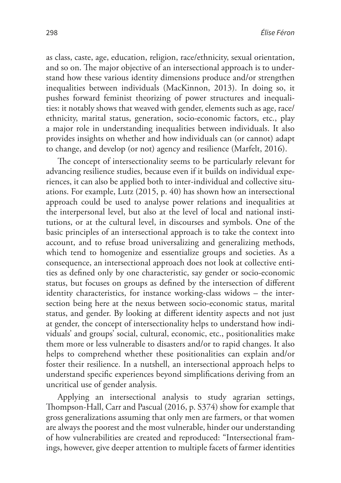as class, caste, age, education, religion, race/ethnicity, sexual orientation, and so on. The major objective of an intersectional approach is to understand how these various identity dimensions produce and/or strengthen inequalities between individuals (MacKinnon, 2013). In doing so, it pushes forward feminist theorizing of power structures and inequalities: it notably shows that weaved with gender, elements such as age, race/ ethnicity, marital status, generation, socio-economic factors, etc., play a major role in understanding inequalities between individuals. It also provides insights on whether and how individuals can (or cannot) adapt to change, and develop (or not) agency and resilience (Marfelt, 2016).

The concept of intersectionality seems to be particularly relevant for advancing resilience studies, because even if it builds on individual experiences, it can also be applied both to inter-individual and collective situations. For example, Lutz (2015, p. 40) has shown how an intersectional approach could be used to analyse power relations and inequalities at the interpersonal level, but also at the level of local and national institutions, or at the cultural level, in discourses and symbols. One of the basic principles of an intersectional approach is to take the context into account, and to refuse broad universalizing and generalizing methods, which tend to homogenize and essentialize groups and societies. As a consequence, an intersectional approach does not look at collective entities as defined only by one characteristic, say gender or socio-economic status, but focuses on groups as defined by the intersection of different identity characteristics, for instance working-class widows – the intersection being here at the nexus between socio-economic status, marital status, and gender. By looking at different identity aspects and not just at gender, the concept of intersectionality helps to understand how individuals' and groups' social, cultural, economic, etc., positionalities make them more or less vulnerable to disasters and/or to rapid changes. It also helps to comprehend whether these positionalities can explain and/or foster their resilience. In a nutshell, an intersectional approach helps to understand specific experiences beyond simplifications deriving from an uncritical use of gender analysis.

Applying an intersectional analysis to study agrarian settings, Thompson-Hall, Carr and Pascual (2016, p. S374) show for example that gross generalizations assuming that only men are farmers, or that women are always the poorest and the most vulnerable, hinder our understanding of how vulnerabilities are created and reproduced: "Intersectional framings, however, give deeper attention to multiple facets of farmer identities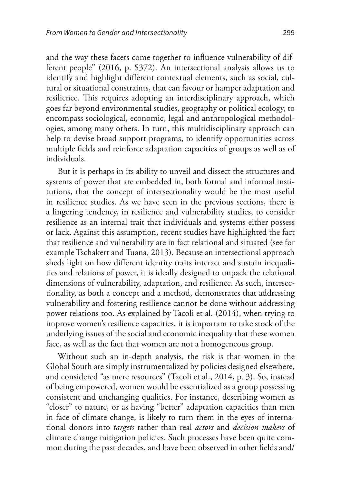and the way these facets come together to influence vulnerability of different people" (2016, p. S372). An intersectional analysis allows us to identify and highlight different contextual elements, such as social, cultural or situational constraints, that can favour or hamper adaptation and resilience. This requires adopting an interdisciplinary approach, which goes far beyond environmental studies, geography or political ecology, to encompass sociological, economic, legal and anthropological methodologies, among many others. In turn, this multidisciplinary approach can help to devise broad support programs, to identify opportunities across multiple fields and reinforce adaptation capacities of groups as well as of individuals.

But it is perhaps in its ability to unveil and dissect the structures and systems of power that are embedded in, both formal and informal institutions, that the concept of intersectionality would be the most useful in resilience studies. As we have seen in the previous sections, there is a lingering tendency, in resilience and vulnerability studies, to consider resilience as an internal trait that individuals and systems either possess or lack. Against this assumption, recent studies have highlighted the fact that resilience and vulnerability are in fact relational and situated (see for example Tschakert and Tuana, 2013). Because an intersectional approach sheds light on how different identity traits interact and sustain inequalities and relations of power, it is ideally designed to unpack the relational dimensions of vulnerability, adaptation, and resilience. As such, intersectionality, as both a concept and a method, demonstrates that addressing vulnerability and fostering resilience cannot be done without addressing power relations too. As explained by Tacoli et al. (2014), when trying to improve women's resilience capacities, it is important to take stock of the underlying issues of the social and economic inequality that these women face, as well as the fact that women are not a homogeneous group.

Without such an in-depth analysis, the risk is that women in the Global South are simply instrumentalized by policies designed elsewhere, and considered "as mere resources" (Tacoli et al., 2014, p. 3). So, instead of being empowered, women would be essentialized as a group possessing consistent and unchanging qualities. For instance, describing women as "closer" to nature, or as having "better" adaptation capacities than men in face of climate change, is likely to turn them in the eyes of international donors into *targets* rather than real *actors* and *decision makers* of climate change mitigation policies. Such processes have been quite common during the past decades, and have been observed in other fields and/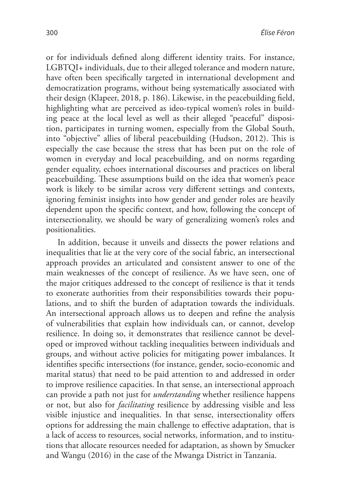or for individuals defined along different identity traits. For instance, LGBTQI+ individuals, due to their alleged tolerance and modern nature, have often been specifically targeted in international development and democratization programs, without being systematically associated with their design (Klapeer, 2018, p. 186). Likewise, in the peacebuilding field, highlighting what are perceived as ideo-typical women's roles in building peace at the local level as well as their alleged "peaceful" disposition, participates in turning women, especially from the Global South, into "objective" allies of liberal peacebuilding (Hudson, 2012). This is especially the case because the stress that has been put on the role of women in everyday and local peacebuilding, and on norms regarding gender equality, echoes international discourses and practices on liberal peacebuilding. These assumptions build on the idea that women's peace work is likely to be similar across very different settings and contexts, ignoring feminist insights into how gender and gender roles are heavily dependent upon the specific context, and how, following the concept of intersectionality, we should be wary of generalizing women's roles and positionalities.

In addition, because it unveils and dissects the power relations and inequalities that lie at the very core of the social fabric, an intersectional approach provides an articulated and consistent answer to one of the main weaknesses of the concept of resilience. As we have seen, one of the major critiques addressed to the concept of resilience is that it tends to exonerate authorities from their responsibilities towards their populations, and to shift the burden of adaptation towards the individuals. An intersectional approach allows us to deepen and refine the analysis of vulnerabilities that explain how individuals can, or cannot, develop resilience. In doing so, it demonstrates that resilience cannot be developed or improved without tackling inequalities between individuals and groups, and without active policies for mitigating power imbalances. It identifies specific intersections (for instance, gender, socio-economic and marital status) that need to be paid attention to and addressed in order to improve resilience capacities. In that sense, an intersectional approach can provide a path not just for *understanding* whether resilience happens or not, but also for *facilitating* resilience by addressing visible and less visible injustice and inequalities. In that sense, intersectionality offers options for addressing the main challenge to effective adaptation, that is a lack of access to resources, social networks, information, and to institutions that allocate resources needed for adaptation, as shown by Smucker and Wangu (2016) in the case of the Mwanga District in Tanzania.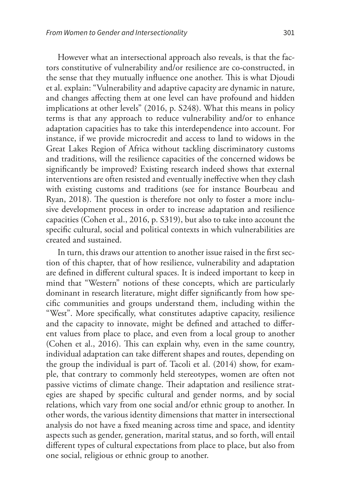However what an intersectional approach also reveals, is that the factors constitutive of vulnerability and/or resilience are co-constructed, in the sense that they mutually influence one another. This is what Djoudi et al. explain: "Vulnerability and adaptive capacity are dynamic in nature, and changes affecting them at one level can have profound and hidden implications at other levels" (2016, p. S248). What this means in policy terms is that any approach to reduce vulnerability and/or to enhance adaptation capacities has to take this interdependence into account. For instance, if we provide microcredit and access to land to widows in the Great Lakes Region of Africa without tackling discriminatory customs and traditions, will the resilience capacities of the concerned widows be significantly be improved? Existing research indeed shows that external interventions are often resisted and eventually ineffective when they clash with existing customs and traditions (see for instance Bourbeau and Ryan, 2018). The question is therefore not only to foster a more inclusive development process in order to increase adaptation and resilience capacities (Cohen et al., 2016, p. S319), but also to take into account the specific cultural, social and political contexts in which vulnerabilities are created and sustained.

In turn, this draws our attention to another issue raised in the first section of this chapter, that of how resilience, vulnerability and adaptation are defined in different cultural spaces. It is indeed important to keep in mind that "Western" notions of these concepts, which are particularly dominant in research literature, might differ significantly from how specific communities and groups understand them, including within the "West". More specifically, what constitutes adaptive capacity, resilience and the capacity to innovate, might be defined and attached to different values from place to place, and even from a local group to another (Cohen et al., 2016). This can explain why, even in the same country, individual adaptation can take different shapes and routes, depending on the group the individual is part of. Tacoli et al. (2014) show, for example, that contrary to commonly held stereotypes, women are often not passive victims of climate change. Their adaptation and resilience strategies are shaped by specific cultural and gender norms, and by social relations, which vary from one social and/or ethnic group to another. In other words, the various identity dimensions that matter in intersectional analysis do not have a fixed meaning across time and space, and identity aspects such as gender, generation, marital status, and so forth, will entail different types of cultural expectations from place to place, but also from one social, religious or ethnic group to another.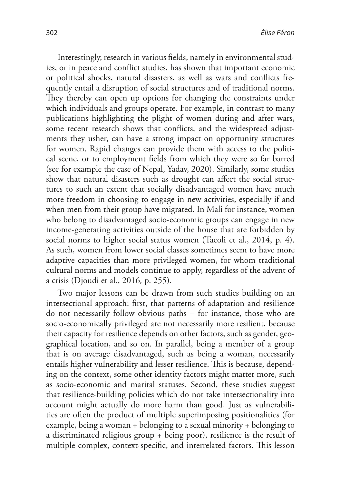Interestingly, research in various fields, namely in environmental studies, or in peace and conflict studies, has shown that important economic or political shocks, natural disasters, as well as wars and conflicts frequently entail a disruption of social structures and of traditional norms. They thereby can open up options for changing the constraints under which individuals and groups operate. For example, in contrast to many publications highlighting the plight of women during and after wars, some recent research shows that conflicts, and the widespread adjustments they usher, can have a strong impact on opportunity structures for women. Rapid changes can provide them with access to the political scene, or to employment fields from which they were so far barred (see for example the case of Nepal, Yadav, 2020). Similarly, some studies show that natural disasters such as drought can affect the social structures to such an extent that socially disadvantaged women have much more freedom in choosing to engage in new activities, especially if and when men from their group have migrated. In Mali for instance, women who belong to disadvantaged socio-economic groups can engage in new income-generating activities outside of the house that are forbidden by social norms to higher social status women (Tacoli et al., 2014, p. 4). As such, women from lower social classes sometimes seem to have more adaptive capacities than more privileged women, for whom traditional cultural norms and models continue to apply, regardless of the advent of a crisis (Djoudi et al., 2016*,* p. 255).

Two major lessons can be drawn from such studies building on an intersectional approach: first, that patterns of adaptation and resilience do not necessarily follow obvious paths – for instance, those who are socio-economically privileged are not necessarily more resilient, because their capacity for resilience depends on other factors, such as gender, geographical location, and so on. In parallel, being a member of a group that is on average disadvantaged, such as being a woman, necessarily entails higher vulnerability and lesser resilience. This is because, depending on the context, some other identity factors might matter more, such as socio-economic and marital statuses. Second, these studies suggest that resilience-building policies which do not take intersectionality into account might actually do more harm than good. Just as vulnerabilities are often the product of multiple superimposing positionalities (for example, being a woman + belonging to a sexual minority + belonging to a discriminated religious group + being poor), resilience is the result of multiple complex, context-specific, and interrelated factors. This lesson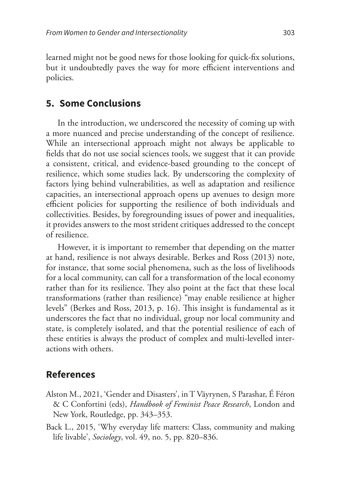learned might not be good news for those looking for quick-fix solutions, but it undoubtedly paves the way for more efficient interventions and policies.

#### **5. Some Conclusions**

In the introduction, we underscored the necessity of coming up with a more nuanced and precise understanding of the concept of resilience. While an intersectional approach might not always be applicable to fields that do not use social sciences tools, we suggest that it can provide a consistent, critical, and evidence-based grounding to the concept of resilience, which some studies lack. By underscoring the complexity of factors lying behind vulnerabilities, as well as adaptation and resilience capacities, an intersectional approach opens up avenues to design more efficient policies for supporting the resilience of both individuals and collectivities. Besides, by foregrounding issues of power and inequalities, it provides answers to the most strident critiques addressed to the concept of resilience.

However, it is important to remember that depending on the matter at hand, resilience is not always desirable. Berkes and Ross (2013) note, for instance, that some social phenomena, such as the loss of livelihoods for a local community, can call for a transformation of the local economy rather than for its resilience. They also point at the fact that these local transformations (rather than resilience) "may enable resilience at higher levels" (Berkes and Ross, 2013, p. 16). This insight is fundamental as it underscores the fact that no individual, group nor local community and state, is completely isolated, and that the potential resilience of each of these entities is always the product of complex and multi-levelled interactions with others.

#### **References**

- Alston M., 2021, 'Gender and Disasters', in T Väyrynen, S Parashar, É Féron & C Confortini (eds), *Handbook of Feminist Peace Research*, London and New York, Routledge, pp. 343–353.
- Back L., 2015, 'Why everyday life matters: Class, community and making life livable', *Sociology*, vol. 49, no. 5, pp. 820–836.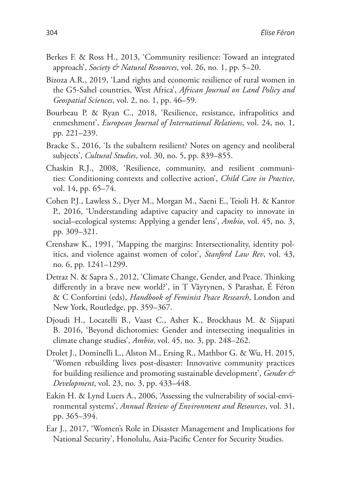- Berkes F. & Ross H., 2013, 'Community resilience: Toward an integrated approach', *Society & Natural Resources*, vol. 26, no. 1, pp. 5–20.
- Bizoza A.R., 2019, 'Land rights and economic resilience of rural women in the G5-Sahel countries, West Africa', *African Journal on Land Policy and Geospatial Sciences*, vol. 2, no. 1, pp. 46–59.
- Bourbeau P. & Ryan C., 2018, 'Resilience, resistance, infrapolitics and enmeshment', *European Journal of International Relations*, vol. 24, no. 1, pp. 221–239.
- Bracke S., 2016, 'Is the subaltern resilient? Notes on agency and neoliberal subjects', *Cultural Studies*, vol. 30, no. 5, pp. 839–855.
- Chaskin R.J., 2008, 'Resilience, community, and resilient communities: Conditioning contexts and collective action', *Child Care in Practice*, vol. 14, pp. 65–74.
- Cohen P.J., Lawless S., Dyer M., Morgan M., Saeni E., Teioli H. & Kantor P., 2016, 'Understanding adaptive capacity and capacity to innovate in social–ecological systems: Applying a gender lens', *Ambio*, vol. 45, no. 3, pp. 309–321.
- Crenshaw K., 1991, 'Mapping the margins: Intersectionality, identity politics, and violence against women of color', *Stanford Law Rev*, vol. 43, no. 6, pp. 1241–1299.
- Detraz N. & Sapra S., 2012, 'Climate Change, Gender, and Peace. Thinking differently in a brave new world?', in T Väyrynen, S Parashar, É Féron & C Confortini (eds), *Handbook of Feminist Peace Research*, London and New York, Routledge, pp. 359–367.
- Djoudi H., Locatelli B., Vaast C., Asher K., Brockhaus M. & Sijapati B. 2016, 'Beyond dichotomies: Gender and intersecting inequalities in climate change studies', *Ambio*, vol. 45, no. 3, pp. 248–262.
- Drolet J., Dominelli L., Alston M., Ersing R., Mathbor G. & Wu, H. 2015, 'Women rebuilding lives post-disaster: Innovative community practices for building resilience and promoting sustainable development', *Gender & Development*, vol. 23, no. 3, pp. 433–448.
- Eakin H. & Lynd Luers A., 2006, 'Assessing the vulnerability of social-environmental systems', *Annual Review of Environment and Resources*, vol. 31, pp. 365–394.
- Ear J., 2017, 'Women's Role in Disaster Management and Implications for National Security', Honolulu, Asia-Pacific Center for Security Studies.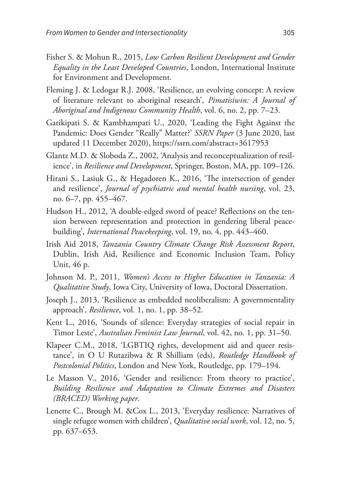- Fisher S. & Mohun R., 2015, *Low Carbon Resilient Development and Gender Equality in the Least Developed Countries*, London, International Institute for Environment and Development.
- Fleming J. & Ledogar R.J. 2008, 'Resilience, an evolving concept: A review of literature relevant to aboriginal research', *Pimatisiwin: A Journal of Aboriginal and Indigenous Community Health*, vol. 6, no. 2, pp. 7–23.
- Garikipati S. & Kambhampati U., 2020, 'Leading the Fight Against the Pandemic: Does Gender "Really" Matter?' *SSRN Paper* (3 June 2020, last updated 11 December 2020), <https://ssrn.com/abstract=3617953>
- Glantz M.D. & Sloboda Z., 2002, 'Analysis and reconceptualization of resilience', in *Resilience and Development*, Springer, Boston, MA, pp. 109–126.
- Hirani S., Lasiuk G., & Hegadoren K., 2016, 'The intersection of gender and resilience', *Journal of psychiatric and mental health nursing*, vol. 23, no. 6–7, pp. 455–467.
- Hudson H., 2012, 'A double-edged sword of peace? Reflections on the tension between representation and protection in gendering liberal peacebuilding', *International Peacekeeping*, vol. 19, no. 4, pp. 443–460.
- Irish Aid 2018, *Tanzania Country Climate Change Risk Assessment Report*, Dublin, Irish Aid, Resilience and Economic Inclusion Team, Policy Unit, 46 p.
- Johnson M. P., 2011, *Women's Access to Higher Education in Tanzania: A Qualitative Study*, Iowa City, University of Iowa, Doctoral Dissertation.
- Joseph J., 2013, 'Resilience as embedded neoliberalism: A governmentality approach', *Resilience*, vol. 1, no. 1, pp. 38–52.
- Kent L., 2016, 'Sounds of silence: Everyday strategies of social repair in Timor Leste', *Australian Feminist Law Journal*, vol. 42, no. 1, pp. 31–50.
- Klapeer C.M., 2018, 'LGBTIQ rights, development aid and queer resistance', in O U Rutazibwa & R Shilliam (eds), *Routledge Handbook of Postcolonial Politics*, London and New York, Routledge, pp. 179–194.
- Le Masson V., 2016, 'Gender and resilience: From theory to practice', *Building Resilience and Adaptation to Climate Extremes and Disasters (BRACED) Working paper*.
- Lenette C., Brough M. &Cox L., 2013, 'Everyday resilience: Narratives of single refugee women with children', *Qualitative social work*, vol. 12, no. 5, pp. 637–653.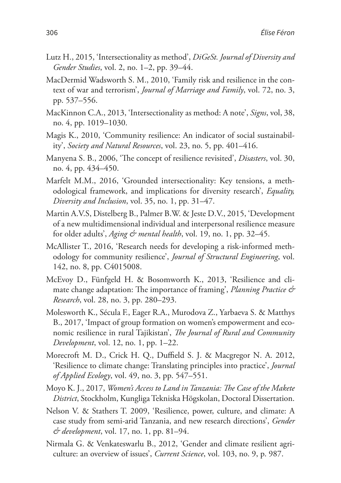- Lutz H., 2015, 'Intersectionality as method', *DiGeSt. Journal of Diversity and Gender Studies*, vol. 2, no. 1–2, pp. 39–44.
- MacDermid Wadsworth S. M., 2010, 'Family risk and resilience in the context of war and terrorism', *Journal of Marriage and Family*, vol. 72, no. 3, pp. 537–556.
- MacKinnon C.A., 2013, 'Intersectionality as method: A note', *Signs*, vol, 38, no. 4, pp. 1019–1030.
- Magis K., 2010, 'Community resilience: An indicator of social sustainability', *Society and Natural Resources*, vol. 23, no. 5, pp. 401–416.
- Manyena S. B., 2006, 'The concept of resilience revisited', *Disasters*, vol. 30, no. 4, pp. 434–450.
- Marfelt M.M., 2016, 'Grounded intersectionality: Key tensions, a methodological framework, and implications for diversity research', *Equality, Diversity and Inclusion*, vol. 35, no. 1, pp. 31–47.
- Martin A.V.S, Distelberg B., Palmer B.W. & Jeste D.V., 2015, 'Development of a new multidimensional individual and interpersonal resilience measure for older adults', *Aging & mental health*, vol. 19, no. 1, pp. 32–45.
- McAllister T., 2016, 'Research needs for developing a risk-informed methodology for community resilience', *Journal of Structural Engineering*, vol. 142, no. 8, pp. C4015008.
- McEvoy D., Fünfgeld H. & Bosomworth K., 2013, 'Resilience and climate change adaptation: The importance of framing', *Planning Practice & Research*, vol. 28, no. 3, pp. 280–293.
- Molesworth K., Sécula F., Eager R.A., Murodova Z., Yarbaeva S. & Matthys B., 2017, 'Impact of group formation on women's empowerment and economic resilience in rural Tajikistan', *The Journal of Rural and Community Development*, vol. 12, no. 1, pp. 1–22.
- Morecroft M. D., Crick H. Q., Duffield S. J. & Macgregor N. A. 2012, 'Resilience to climate change: Translating principles into practice', *Journal of Applied Ecology*, vol. 49, no. 3, pp. 547–551.
- Moyo K. J., 2017, *Women's Access to Land in Tanzania: The Case of the Makete District*, Stockholm, Kungliga Tekniska Högskolan, Doctoral Dissertation.
- Nelson V. & Stathers T. 2009, 'Resilience, power, culture, and climate: A case study from semi-arid Tanzania, and new research directions', *Gender & development*, vol. 17, no. 1, pp. 81–94.
- Nirmala G. & Venkateswarlu B., 2012, 'Gender and climate resilient agriculture: an overview of issues', *Current Science*, vol. 103, no. 9, p. 987.